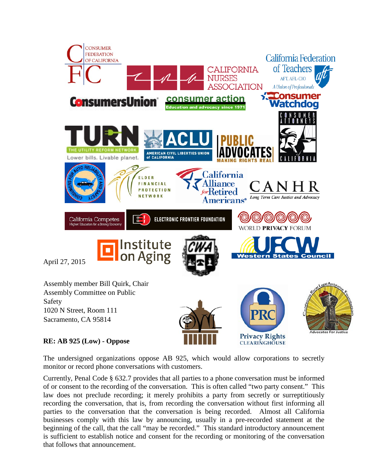

## **RE: AB 925 (Low) - Oppose**

The undersigned organizations oppose AB 925, which would allow corporations to secretly monitor or record phone conversations with customers.

**CLEARINGHOUSE** 

Currently, Penal Code § 632.7 provides that all parties to a phone conversation must be informed of or consent to the recording of the conversation. This is often called "two party consent." This law does not preclude recording; it merely prohibits a party from secretly or surreptitiously recording the conversation, that is, from recording the conversation without first informing all parties to the conversation that the conversation is being recorded. Almost all California businesses comply with this law by announcing, usually in a pre-recorded statement at the beginning of the call, that the call "may be recorded." This standard introductory announcement is sufficient to establish notice and consent for the recording or monitoring of the conversation that follows that announcement.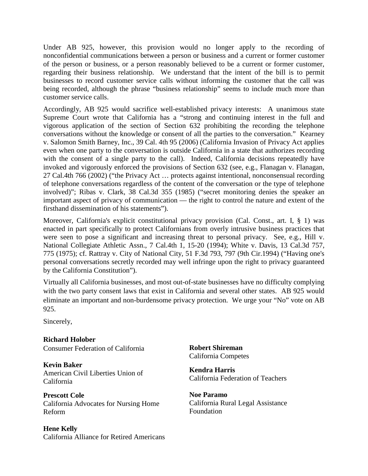Under AB 925, however, this provision would no longer apply to the recording of nonconfidential communications between a person or business and a current or former customer of the person or business, or a person reasonably believed to be a current or former customer, regarding their business relationship. We understand that the intent of the bill is to permit businesses to record customer service calls without informing the customer that the call was being recorded, although the phrase "business relationship" seems to include much more than customer service calls.

Accordingly, AB 925 would sacrifice well-established privacy interests: A unanimous state Supreme Court wrote that California has a "strong and continuing interest in the full and vigorous application of the section of Section 632 prohibiting the recording the telephone conversations without the knowledge or consent of all the parties to the conversation." Kearney v. Salomon Smith Barney, Inc., 39 Cal. 4th 95 (2006) (California Invasion of Privacy Act applies even when one party to the conversation is outside California in a state that authorizes recording with the consent of a single party to the call). Indeed, California decisions repeatedly have invoked and vigorously enforced the provisions of Section 632 (see, e.g., Flanagan v. Flanagan, 27 Cal.4th 766 (2002) ("the Privacy Act … protects against intentional, nonconsensual recording of telephone conversations regardless of the content of the conversation or the type of telephone involved)"; Ribas v. Clark, 38 Cal.3d 355 (1985) ("secret monitoring denies the speaker an important aspect of privacy of communication — the right to control the nature and extent of the firsthand dissemination of his statements").

Moreover, California's explicit constitutional privacy provision (Cal. Const., art. I, § 1) was enacted in part specifically to protect Californians from overly intrusive business practices that were seen to pose a significant and increasing threat to personal privacy. See, e.g., Hill v. National Collegiate Athletic Assn., 7 Cal.4th 1, 15-20 (1994); White v. Davis, 13 Cal.3d 757, 775 (1975); cf. Rattray v. City of National City, 51 F.3d 793, 797 (9th Cir.1994) ("Having one's personal conversations secretly recorded may well infringe upon the right to privacy guaranteed by the California Constitution").

Virtually all California businesses, and most out-of-state businesses have no difficulty complying with the two party consent laws that exist in California and several other states. AB 925 would eliminate an important and non-burdensome privacy protection. We urge your "No" vote on AB 925.

Sincerely,

**Richard Holober** Consumer Federation of California

**Kevin Baker** American Civil Liberties Union of California

**Prescott Cole** California Advocates for Nursing Home Reform

**Hene Kelly** California Alliance for Retired Americans **Robert Shireman** California Competes

**Kendra Harris** California Federation of Teachers

**Noe Paramo** California Rural Legal Assistance Foundation